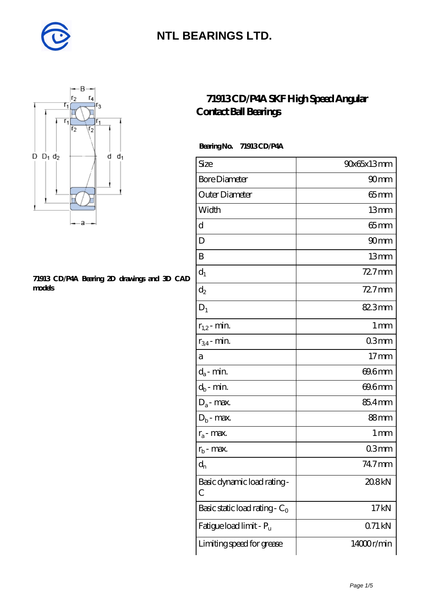



#### **[71913 CD/P4A Bearing 2D drawings and 3D CAD](https://m.diabetesfriends.net/pic-590695.html) [models](https://m.diabetesfriends.net/pic-590695.html)**

#### **[71913 CD/P4A SKF High Speed Angular](https://m.diabetesfriends.net/skf-bearing/71913-cd-p4a.html) [Contact Ball Bearings](https://m.diabetesfriends.net/skf-bearing/71913-cd-p4a.html)**

 **Bearing No. 71913 CD/P4A**

| Size                             | 90x65x13mm        |
|----------------------------------|-------------------|
| <b>Bore Diameter</b>             | 90mm              |
| Outer Diameter                   | $65$ mm           |
| Width                            | 13mm              |
| d                                | $65$ mm           |
| D                                | 90 <sub>mm</sub>  |
| B                                | 13mm              |
| $d_1$                            | $727$ mm          |
| $\mathrm{d}_2$                   | 72.7mm            |
| $D_1$                            | 82.3mm            |
| $r_{1,2}$ - min.                 | 1 <sub>mm</sub>   |
| $r_{34}$ - min.                  | 03mm              |
| а                                | 17 <sub>mm</sub>  |
| $d_a$ - min.                     | 69.6mm            |
| $d_b$ - min.                     | 69.6mm            |
| $D_a$ - max.                     | 85.4mm            |
| $D_b$ - max.                     | 88mm              |
| $r_a$ - max.                     | $1 \,\mathrm{mm}$ |
| $r_{b}$ - max.                   | 03mm              |
| $d_{n}$                          | 74.7mm            |
| Basic dynamic load rating-<br>С  | 20.8kN            |
| Basic static load rating - $C_0$ | 17kN              |
| Fatigue load limit - Pu          | 071 kN            |
| Limiting speed for grease        | 14000r/min        |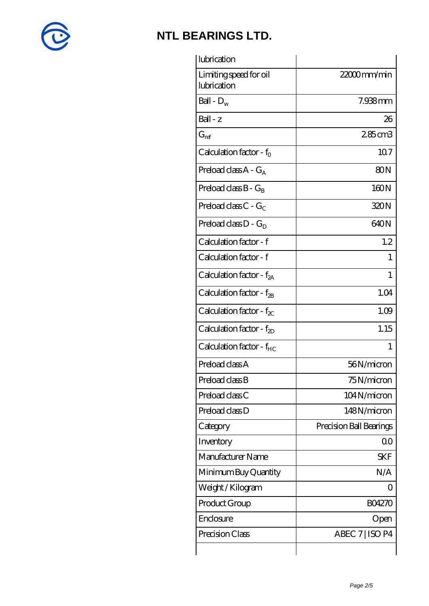

| lubrication                           |                         |
|---------------------------------------|-------------------------|
| Limiting speed for oil<br>lubrication | $2200$ mm/min           |
| Ball - $D_w$                          | 7.938mm                 |
| Ball - z                              | 26                      |
| $G_{\mathrm{ref}}$                    | 285cm3                  |
| Calculation factor - $f_0$            | 107                     |
| Preload class $A - G_A$               | 80 <sub>N</sub>         |
| Preload class $B - G_B$               | 160N                    |
| Preload class $C - G_C$               | 320N                    |
| Preload class $D - G_D$               | 640N                    |
| Calculation factor - f                | 1.2                     |
| Calculation factor - f                |                         |
| Calculation factor - $f_{2A}$         | 1                       |
| Calculation factor - $f_{2B}$         | 1.04                    |
| Calculation factor - $f_{\chi}$       | 1.09                    |
| Calculation factor - $f_{2D}$         | 1.15                    |
| Calculation factor - $f_{HC}$         | 1                       |
| Preload class A                       | 56N/micron              |
| Preload class B                       | 75N/micron              |
| Preload class C                       | 104N/micron             |
| Preload class D                       | 148N/micron             |
| Category                              | Precision Ball Bearings |
| Inventory                             | 0 <sup>0</sup>          |
| Manufacturer Name                     | SKF                     |
| Minimum Buy Quantity                  | N/A                     |
| Weight/Kilogram                       | ( )                     |
| Product Group                         | <b>BO4270</b>           |
| Enclosure                             | Open                    |
| Precision Class                       | ABEC 7   ISO P4         |
|                                       |                         |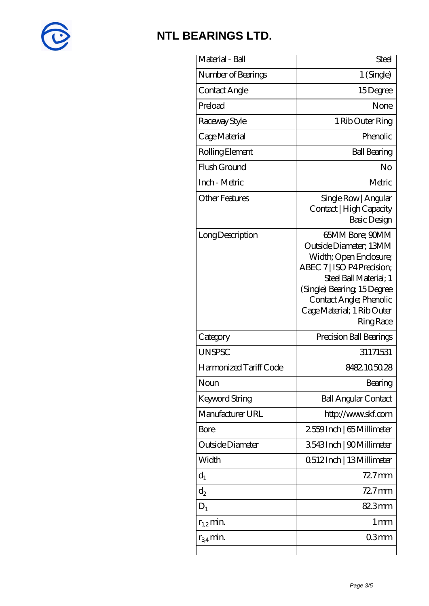

| Material - Ball        | Steel                                                                                                                                                                                                                                 |
|------------------------|---------------------------------------------------------------------------------------------------------------------------------------------------------------------------------------------------------------------------------------|
| Number of Bearings     | 1 (Single)                                                                                                                                                                                                                            |
| Contact Angle          | 15Degree                                                                                                                                                                                                                              |
| Preload                | None                                                                                                                                                                                                                                  |
| Raceway Style          | 1 Rib Outer Ring                                                                                                                                                                                                                      |
| Cage Material          | Phenolic                                                                                                                                                                                                                              |
| Rolling Element        | <b>Ball Bearing</b>                                                                                                                                                                                                                   |
| Flush Ground           | No                                                                                                                                                                                                                                    |
| Inch - Metric          | Metric                                                                                                                                                                                                                                |
| <b>Other Features</b>  | Single Row   Angular<br>Contact   High Capacity<br>Basic Design                                                                                                                                                                       |
| Long Description       | 65MM Bore: 90MM<br>Outside Diameter: 13MM<br>Width; Open Enclosure;<br>ABEC 7   ISO P4 Precision;<br>Steel Ball Material; 1<br>(Single) Bearing 15Degree<br>Contact Angle; Phenolic<br>Cage Material; 1 Rib Outer<br><b>Ring Race</b> |
| Category               | Precision Ball Bearings                                                                                                                                                                                                               |
| <b>UNSPSC</b>          | 31171531                                                                                                                                                                                                                              |
| Harmonized Tariff Code | 8482105028                                                                                                                                                                                                                            |
| Noun                   | Bearing                                                                                                                                                                                                                               |
| Keyword String         | <b>Ball Angular Contact</b>                                                                                                                                                                                                           |
| Manufacturer URL       | http://www.skf.com                                                                                                                                                                                                                    |
| Bore                   | 2559Inch   65 Millimeter                                                                                                                                                                                                              |
| Outside Diameter       | 3543Inch   90Millimeter                                                                                                                                                                                                               |
| Width                  | 0.512 Inch   13 Millimeter                                                                                                                                                                                                            |
| $d_1$                  | $727$ mm                                                                                                                                                                                                                              |
| $d_2$                  | $727$ mm                                                                                                                                                                                                                              |
| $D_1$                  | 82.3mm                                                                                                                                                                                                                                |
| $r_{1,2}$ min.         | 1 <sub>mm</sub>                                                                                                                                                                                                                       |
| $r_{34}$ min.          | 03mm                                                                                                                                                                                                                                  |
|                        |                                                                                                                                                                                                                                       |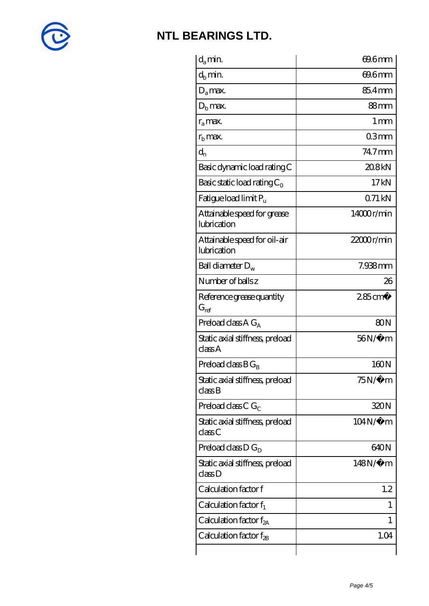

| $d_a$ min.                                  | 69.6mm             |
|---------------------------------------------|--------------------|
| $d_h$ min.                                  | 69.6mm             |
| $D_a$ max.                                  | 85.4mm             |
| $Db$ max.                                   | 88mm               |
| $r_a$ max.                                  | $1 \,\mathrm{mm}$  |
| $r_{\rm b}$ max.                            | 03mm               |
| $d_{n}$                                     | 74.7mm             |
| Basic dynamic load rating C                 | 208kN              |
| Basic static load rating $C_0$              | 17kN               |
| Fatigue load limit $P_u$                    | 071kN              |
| Attainable speed for grease<br>lubrication  | 14000r/min         |
| Attainable speed for oil-air<br>lubrication | $22000$ r/min      |
| Ball diameter $D_w$                         | $7.938$ mm         |
| Number of balls z                           | 26                 |
| Reference grease quantity<br>$G_{ref}$      | $285 \text{ cm}^3$ |
| Preload class A $G_A$                       | 80N                |
| Static axial stiffness, preload<br>classA   | $56N/\mu$ m        |
| Preload class $BG_R$                        | 160N               |
| Static axial stiffness, preload<br>classB   | $75N/\mu$ m        |
| Preload class C $G_C$                       | 320N               |
| Static axial stiffness, preload<br>classC   | $104N/\mu$ m       |
| Preload class $D G_D$                       | 640N               |
| Static axial stiffness, preload<br>classD   | 148N/μ m           |
| Calculation factor f                        | 1.2                |
| Calculation factor $f_1$                    | 1                  |
| Calculation factor $f_{2A}$                 | 1                  |
| Calculation factor $f_{\rm 2B}$             | 1.04               |
|                                             |                    |